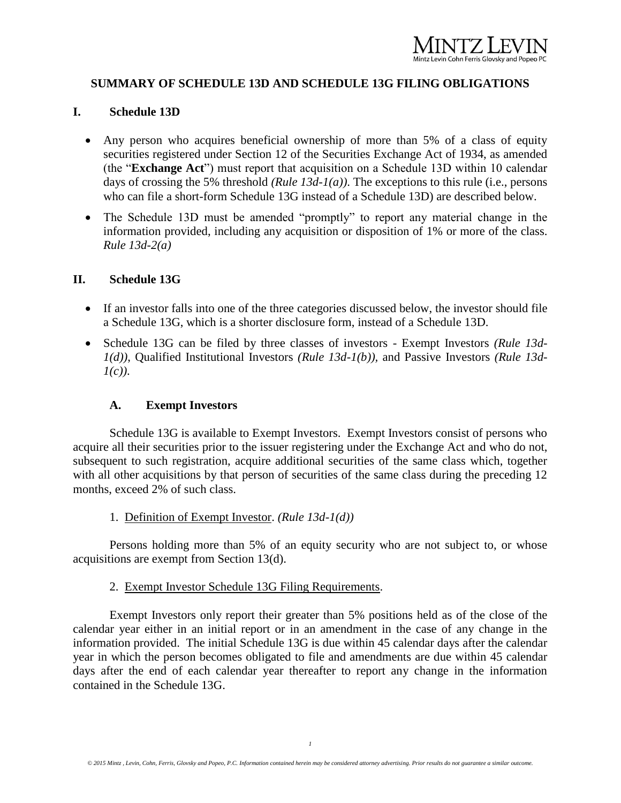## **SUMMARY OF SCHEDULE 13D AND SCHEDULE 13G FILING OBLIGATIONS**

#### **I. Schedule 13D**

- Any person who acquires beneficial ownership of more than 5% of a class of equity securities registered under Section 12 of the Securities Exchange Act of 1934, as amended (the "**Exchange Act**") must report that acquisition on a Schedule 13D within 10 calendar days of crossing the 5% threshold *(Rule 13d-1(a))*. The exceptions to this rule (i.e., persons who can file a short-form Schedule 13G instead of a Schedule 13D) are described below.
- The Schedule 13D must be amended "promptly" to report any material change in the information provided, including any acquisition or disposition of 1% or more of the class. *Rule 13d-2(a)*

#### **II. Schedule 13G**

- If an investor falls into one of the three categories discussed below, the investor should file a Schedule 13G, which is a shorter disclosure form, instead of a Schedule 13D.
- Schedule 13G can be filed by three classes of investors Exempt Investors *(Rule 13d-1(d))*, Qualified Institutional Investors *(Rule 13d-1(b)),* and Passive Investors *(Rule 13d-1(c))*.

#### **A. Exempt Investors**

Schedule 13G is available to Exempt Investors. Exempt Investors consist of persons who acquire all their securities prior to the issuer registering under the Exchange Act and who do not, subsequent to such registration, acquire additional securities of the same class which, together with all other acquisitions by that person of securities of the same class during the preceding 12 months, exceed 2% of such class.

1. Definition of Exempt Investor. *(Rule 13d-1(d))*

Persons holding more than 5% of an equity security who are not subject to, or whose acquisitions are exempt from Section 13(d).

#### 2. Exempt Investor Schedule 13G Filing Requirements.

Exempt Investors only report their greater than 5% positions held as of the close of the calendar year either in an initial report or in an amendment in the case of any change in the information provided. The initial Schedule 13G is due within 45 calendar days after the calendar year in which the person becomes obligated to file and amendments are due within 45 calendar days after the end of each calendar year thereafter to report any change in the information contained in the Schedule 13G.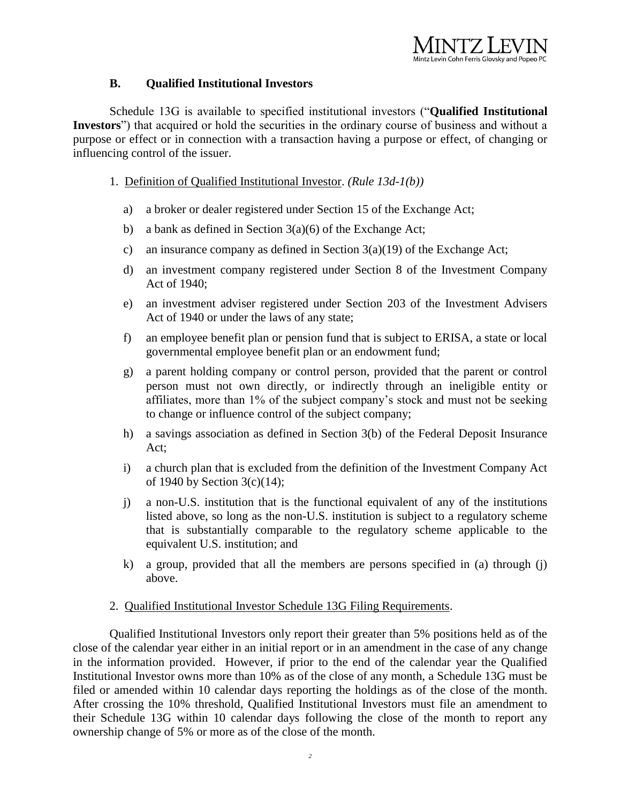# Mintz Levin Cohn Ferris Glovsky and Popeo PC

## **B. Qualified Institutional Investors**

Schedule 13G is available to specified institutional investors ("**Qualified Institutional Investors**") that acquired or hold the securities in the ordinary course of business and without a purpose or effect or in connection with a transaction having a purpose or effect, of changing or influencing control of the issuer.

- 1. Definition of Qualified Institutional Investor. *(Rule 13d-1(b))*
	- a) a broker or dealer registered under Section 15 of the Exchange Act;
	- b) a bank as defined in Section 3(a)(6) of the Exchange Act;
	- c) an insurance company as defined in Section  $3(a)(19)$  of the Exchange Act;
	- d) an investment company registered under Section 8 of the Investment Company Act of 1940;
	- e) an investment adviser registered under Section 203 of the Investment Advisers Act of 1940 or under the laws of any state;
	- f) an employee benefit plan or pension fund that is subject to ERISA, a state or local governmental employee benefit plan or an endowment fund;
	- g) a parent holding company or control person, provided that the parent or control person must not own directly, or indirectly through an ineligible entity or affiliates, more than 1% of the subject company's stock and must not be seeking to change or influence control of the subject company;
	- h) a savings association as defined in Section 3(b) of the Federal Deposit Insurance Act;
	- i) a church plan that is excluded from the definition of the Investment Company Act of 1940 by Section 3(c)(14);
	- j) a non-U.S. institution that is the functional equivalent of any of the institutions listed above, so long as the non-U.S. institution is subject to a regulatory scheme that is substantially comparable to the regulatory scheme applicable to the equivalent U.S. institution; and
	- k) a group, provided that all the members are persons specified in (a) through (j) above.

### 2. Qualified Institutional Investor Schedule 13G Filing Requirements.

Qualified Institutional Investors only report their greater than 5% positions held as of the close of the calendar year either in an initial report or in an amendment in the case of any change in the information provided. However, if prior to the end of the calendar year the Qualified Institutional Investor owns more than 10% as of the close of any month, a Schedule 13G must be filed or amended within 10 calendar days reporting the holdings as of the close of the month. After crossing the 10% threshold, Qualified Institutional Investors must file an amendment to their Schedule 13G within 10 calendar days following the close of the month to report any ownership change of 5% or more as of the close of the month.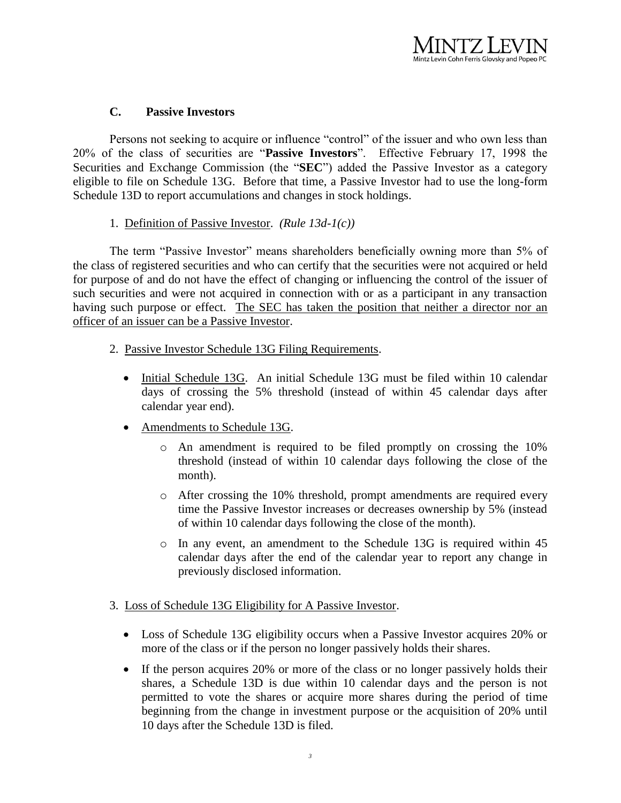## **C. Passive Investors**

Persons not seeking to acquire or influence "control" of the issuer and who own less than 20% of the class of securities are "**Passive Investors**". Effective February 17, 1998 the Securities and Exchange Commission (the "**SEC**") added the Passive Investor as a category eligible to file on Schedule 13G. Before that time, a Passive Investor had to use the long-form Schedule 13D to report accumulations and changes in stock holdings.

## 1. Definition of Passive Investor. *(Rule 13d-1(c))*

The term "Passive Investor" means shareholders beneficially owning more than 5% of the class of registered securities and who can certify that the securities were not acquired or held for purpose of and do not have the effect of changing or influencing the control of the issuer of such securities and were not acquired in connection with or as a participant in any transaction having such purpose or effect. The SEC has taken the position that neither a director nor an officer of an issuer can be a Passive Investor.

- 2. Passive Investor Schedule 13G Filing Requirements.
	- Initial Schedule 13G. An initial Schedule 13G must be filed within 10 calendar days of crossing the 5% threshold (instead of within 45 calendar days after calendar year end).
	- Amendments to Schedule 13G.
		- $\circ$  An amendment is required to be filed promptly on crossing the 10% threshold (instead of within 10 calendar days following the close of the month).
		- o After crossing the 10% threshold, prompt amendments are required every time the Passive Investor increases or decreases ownership by 5% (instead of within 10 calendar days following the close of the month).
		- o In any event, an amendment to the Schedule 13G is required within 45 calendar days after the end of the calendar year to report any change in previously disclosed information.

### 3. Loss of Schedule 13G Eligibility for A Passive Investor.

- Loss of Schedule 13G eligibility occurs when a Passive Investor acquires 20% or more of the class or if the person no longer passively holds their shares.
- If the person acquires 20% or more of the class or no longer passively holds their shares, a Schedule 13D is due within 10 calendar days and the person is not permitted to vote the shares or acquire more shares during the period of time beginning from the change in investment purpose or the acquisition of 20% until 10 days after the Schedule 13D is filed.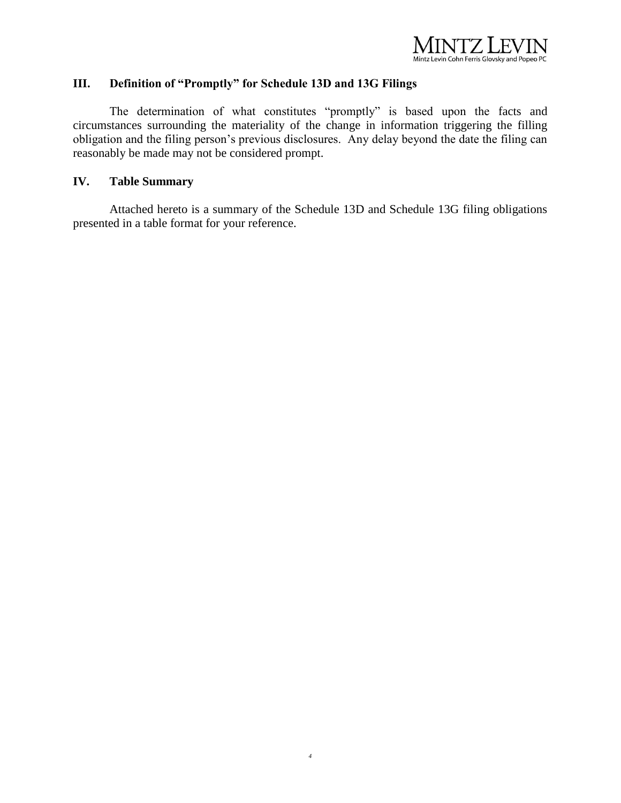

## **III. Definition of "Promptly" for Schedule 13D and 13G Filings**

The determination of what constitutes "promptly" is based upon the facts and circumstances surrounding the materiality of the change in information triggering the filling obligation and the filing person's previous disclosures. Any delay beyond the date the filing can reasonably be made may not be considered prompt.

## **IV. Table Summary**

Attached hereto is a summary of the Schedule 13D and Schedule 13G filing obligations presented in a table format for your reference.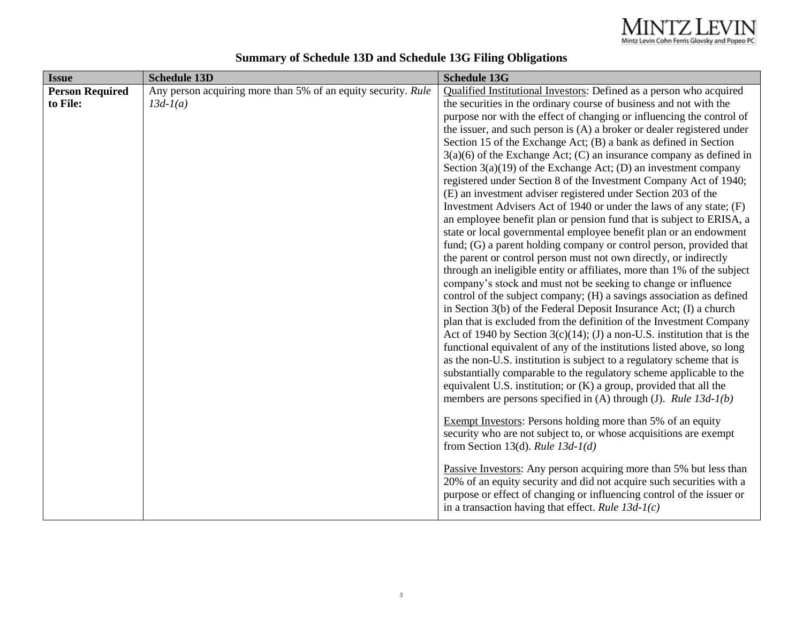| <b>Issue</b>           | <b>Schedule 13D</b>                                           | <b>Schedule 13G</b>                                                                                                                       |
|------------------------|---------------------------------------------------------------|-------------------------------------------------------------------------------------------------------------------------------------------|
| <b>Person Required</b> | Any person acquiring more than 5% of an equity security. Rule | Qualified Institutional Investors: Defined as a person who acquired                                                                       |
| to File:               | $13d-1(a)$                                                    | the securities in the ordinary course of business and not with the                                                                        |
|                        |                                                               | purpose nor with the effect of changing or influencing the control of                                                                     |
|                        |                                                               | the issuer, and such person is (A) a broker or dealer registered under                                                                    |
|                        |                                                               | Section 15 of the Exchange Act; (B) a bank as defined in Section                                                                          |
|                        |                                                               | $3(a)(6)$ of the Exchange Act; (C) an insurance company as defined in                                                                     |
|                        |                                                               | Section $3(a)(19)$ of the Exchange Act; (D) an investment company                                                                         |
|                        |                                                               | registered under Section 8 of the Investment Company Act of 1940;                                                                         |
|                        |                                                               | (E) an investment adviser registered under Section 203 of the                                                                             |
|                        |                                                               | Investment Advisers Act of 1940 or under the laws of any state; (F)                                                                       |
|                        |                                                               | an employee benefit plan or pension fund that is subject to ERISA, a                                                                      |
|                        |                                                               | state or local governmental employee benefit plan or an endowment                                                                         |
|                        |                                                               | fund; (G) a parent holding company or control person, provided that                                                                       |
|                        |                                                               | the parent or control person must not own directly, or indirectly                                                                         |
|                        |                                                               | through an ineligible entity or affiliates, more than 1% of the subject<br>company's stock and must not be seeking to change or influence |
|                        |                                                               | control of the subject company; (H) a savings association as defined                                                                      |
|                        |                                                               | in Section $3(b)$ of the Federal Deposit Insurance Act; (I) a church                                                                      |
|                        |                                                               | plan that is excluded from the definition of the Investment Company                                                                       |
|                        |                                                               | Act of 1940 by Section $3(c)(14)$ ; (J) a non-U.S. institution that is the                                                                |
|                        |                                                               | functional equivalent of any of the institutions listed above, so long                                                                    |
|                        |                                                               | as the non-U.S. institution is subject to a regulatory scheme that is                                                                     |
|                        |                                                               | substantially comparable to the regulatory scheme applicable to the                                                                       |
|                        |                                                               | equivalent U.S. institution; or $(K)$ a group, provided that all the                                                                      |
|                        |                                                               | members are persons specified in (A) through (J). Rule $13d-1(b)$                                                                         |
|                        |                                                               |                                                                                                                                           |
|                        |                                                               | <b>Exempt Investors:</b> Persons holding more than 5% of an equity                                                                        |
|                        |                                                               | security who are not subject to, or whose acquisitions are exempt                                                                         |
|                        |                                                               | from Section 13(d). Rule $13d-1$ (d)                                                                                                      |
|                        |                                                               | Passive Investors: Any person acquiring more than 5% but less than                                                                        |
|                        |                                                               | 20% of an equity security and did not acquire such securities with a                                                                      |
|                        |                                                               | purpose or effect of changing or influencing control of the issuer or                                                                     |
|                        |                                                               | in a transaction having that effect. Rule $13d-1(c)$                                                                                      |
|                        |                                                               |                                                                                                                                           |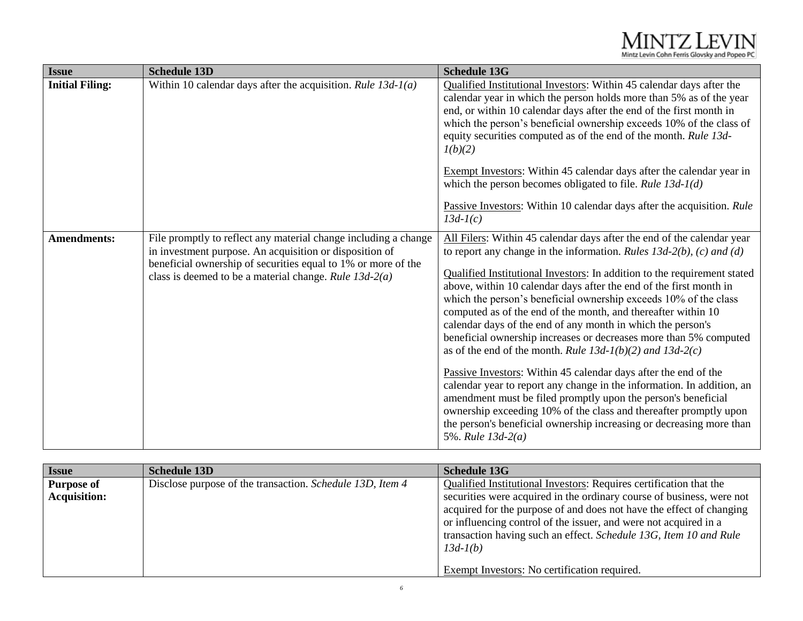| <b>Issue</b>           | <b>Schedule 13D</b>                                                                                                                                                                                                                                     | <b>Schedule 13G</b>                                                                                                                                                                                                                                                                                                                                                                                                                                                                                                                                                                                                                                                                                                                                                                                                                                                                                                                                                                                                             |
|------------------------|---------------------------------------------------------------------------------------------------------------------------------------------------------------------------------------------------------------------------------------------------------|---------------------------------------------------------------------------------------------------------------------------------------------------------------------------------------------------------------------------------------------------------------------------------------------------------------------------------------------------------------------------------------------------------------------------------------------------------------------------------------------------------------------------------------------------------------------------------------------------------------------------------------------------------------------------------------------------------------------------------------------------------------------------------------------------------------------------------------------------------------------------------------------------------------------------------------------------------------------------------------------------------------------------------|
| <b>Initial Filing:</b> | Within 10 calendar days after the acquisition. Rule $13d-1$ (a)                                                                                                                                                                                         | Qualified Institutional Investors: Within 45 calendar days after the<br>calendar year in which the person holds more than 5% as of the year<br>end, or within 10 calendar days after the end of the first month in<br>which the person's beneficial ownership exceeds 10% of the class of<br>equity securities computed as of the end of the month. Rule 13d-<br>1(b)(2)                                                                                                                                                                                                                                                                                                                                                                                                                                                                                                                                                                                                                                                        |
|                        |                                                                                                                                                                                                                                                         | Exempt Investors: Within 45 calendar days after the calendar year in<br>which the person becomes obligated to file. Rule $13d-1$ (d)<br>Passive Investors: Within 10 calendar days after the acquisition. Rule                                                                                                                                                                                                                                                                                                                                                                                                                                                                                                                                                                                                                                                                                                                                                                                                                  |
|                        |                                                                                                                                                                                                                                                         | $13d-1(c)$                                                                                                                                                                                                                                                                                                                                                                                                                                                                                                                                                                                                                                                                                                                                                                                                                                                                                                                                                                                                                      |
| <b>Amendments:</b>     | File promptly to reflect any material change including a change<br>in investment purpose. An acquisition or disposition of<br>beneficial ownership of securities equal to 1% or more of the<br>class is deemed to be a material change. Rule $13d-2(a)$ | All Filers: Within 45 calendar days after the end of the calendar year<br>to report any change in the information. Rules $13d-2(b)$ , (c) and (d)<br>Qualified Institutional Investors: In addition to the requirement stated<br>above, within 10 calendar days after the end of the first month in<br>which the person's beneficial ownership exceeds 10% of the class<br>computed as of the end of the month, and thereafter within 10<br>calendar days of the end of any month in which the person's<br>beneficial ownership increases or decreases more than 5% computed<br>as of the end of the month. Rule $13d-1(b)(2)$ and $13d-2(c)$<br>Passive Investors: Within 45 calendar days after the end of the<br>calendar year to report any change in the information. In addition, an<br>amendment must be filed promptly upon the person's beneficial<br>ownership exceeding 10% of the class and thereafter promptly upon<br>the person's beneficial ownership increasing or decreasing more than<br>5%. Rule $13d-2(a)$ |

| <b>Issue</b>                             | <b>Schedule 13D</b>                                       | <b>Schedule 13G</b>                                                                                                                                                                                                                                                                                                                                                        |
|------------------------------------------|-----------------------------------------------------------|----------------------------------------------------------------------------------------------------------------------------------------------------------------------------------------------------------------------------------------------------------------------------------------------------------------------------------------------------------------------------|
| <b>Purpose of</b><br><b>Acquisition:</b> | Disclose purpose of the transaction. Schedule 13D, Item 4 | Qualified Institutional Investors: Requires certification that the<br>securities were acquired in the ordinary course of business, were not<br>acquired for the purpose of and does not have the effect of changing<br>or influencing control of the issuer, and were not acquired in a<br>transaction having such an effect. Schedule 13G, Item 10 and Rule<br>$13d-1(b)$ |
|                                          |                                                           | <b>Exempt Investors:</b> No certification required.                                                                                                                                                                                                                                                                                                                        |